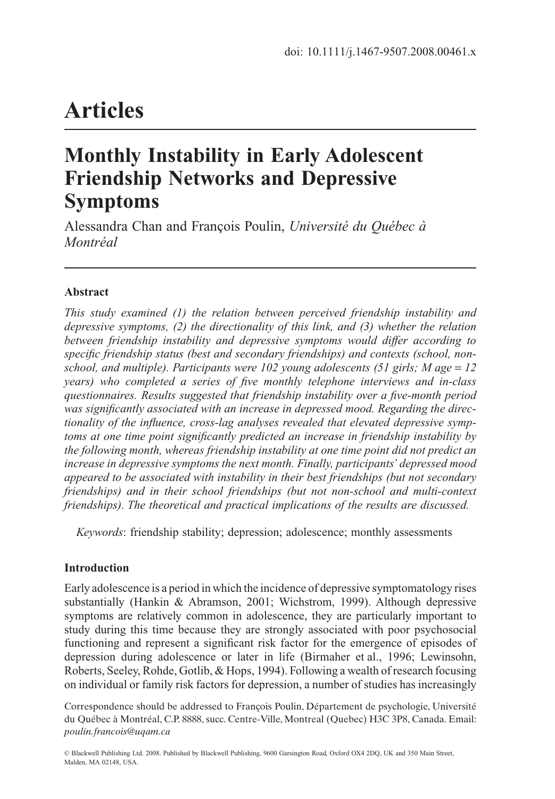# **Articles**

# **Monthly Instability in Early Adolescent Friendship Networks and Depressive Symptoms**

Alessandra Chan and François Poulin, *Université du Québec à Montréal*

# **Abstract**

*This study examined (1) the relation between perceived friendship instability and depressive symptoms, (2) the directionality of this link, and (3) whether the relation between friendship instability and depressive symptoms would differ according to specific friendship status (best and secondary friendships) and contexts (school, nonschool, and multiple). Participants were 102 young adolescents (51 girls; M age* = *12 years) who completed a series of five monthly telephone interviews and in-class questionnaires. Results suggested that friendship instability over a five-month period was significantly associated with an increase in depressed mood. Regarding the directionality of the influence, cross-lag analyses revealed that elevated depressive symptoms at one time point significantly predicted an increase in friendship instability by the following month, whereas friendship instability at one time point did not predict an increase in depressive symptoms the next month. Finally, participants' depressed mood appeared to be associated with instability in their best friendships (but not secondary friendships) and in their school friendships (but not non-school and multi-context friendships). The theoretical and practical implications of the results are discussed.*

*Keywords*: friendship stability; depression; adolescence; monthly assessments

## **Introduction**

Early adolescence is a period in which the incidence of depressive symptomatology rises substantially (Hankin & Abramson, 2001; Wichstrom, 1999). Although depressive symptoms are relatively common in adolescence, they are particularly important to study during this time because they are strongly associated with poor psychosocial functioning and represent a significant risk factor for the emergence of episodes of depression during adolescence or later in life (Birmaher et al., 1996; Lewinsohn, Roberts, Seeley, Rohde, Gotlib, & Hops, 1994). Following a wealth of research focusing on individual or family risk factors for depression, a number of studies has increasingly

Correspondence should be addressed to François Poulin, Département de psychologie, Université du Québec à Montréal, C.P. 8888, succ. Centre-Ville, Montreal (Quebec) H3C 3P8, Canada. Email: *poulin.[francois@uqam.ca](mailto:francois@uqam.ca)*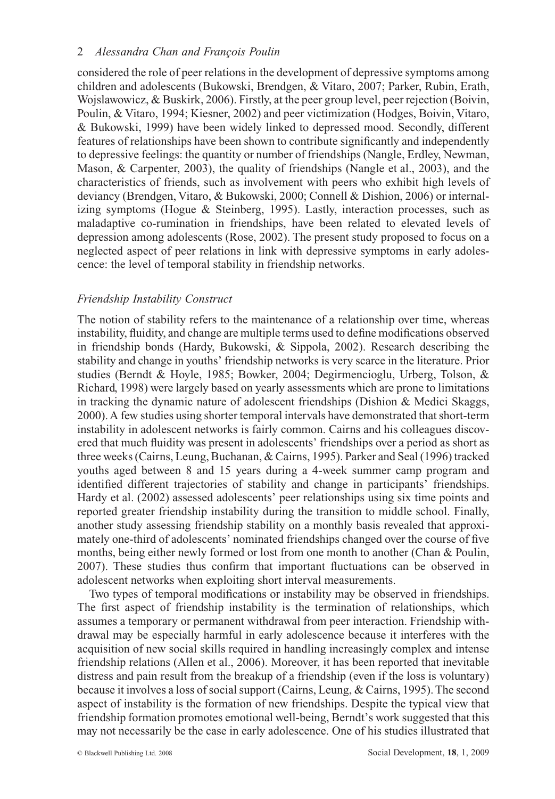considered the role of peer relations in the development of depressive symptoms among children and adolescents (Bukowski, Brendgen, & Vitaro, 2007; Parker, Rubin, Erath, Wojslawowicz, & Buskirk, 2006). Firstly, at the peer group level, peer rejection (Boivin, Poulin, & Vitaro, 1994; Kiesner, 2002) and peer victimization (Hodges, Boivin, Vitaro, & Bukowski, 1999) have been widely linked to depressed mood. Secondly, different features of relationships have been shown to contribute significantly and independently to depressive feelings: the quantity or number of friendships (Nangle, Erdley, Newman, Mason, & Carpenter, 2003), the quality of friendships (Nangle et al., 2003), and the characteristics of friends, such as involvement with peers who exhibit high levels of deviancy (Brendgen, Vitaro, & Bukowski, 2000; Connell & Dishion, 2006) or internalizing symptoms (Hogue & Steinberg, 1995). Lastly, interaction processes, such as maladaptive co-rumination in friendships, have been related to elevated levels of depression among adolescents (Rose, 2002). The present study proposed to focus on a neglected aspect of peer relations in link with depressive symptoms in early adolescence: the level of temporal stability in friendship networks.

## *Friendship Instability Construct*

The notion of stability refers to the maintenance of a relationship over time, whereas instability, fluidity, and change are multiple terms used to define modifications observed in friendship bonds (Hardy, Bukowski, & Sippola, 2002). Research describing the stability and change in youths' friendship networks is very scarce in the literature. Prior studies (Berndt & Hoyle, 1985; Bowker, 2004; Degirmencioglu, Urberg, Tolson, & Richard, 1998) were largely based on yearly assessments which are prone to limitations in tracking the dynamic nature of adolescent friendships (Dishion & Medici Skaggs, 2000).A few studies using shorter temporal intervals have demonstrated that short-term instability in adolescent networks is fairly common. Cairns and his colleagues discovered that much fluidity was present in adolescents' friendships over a period as short as three weeks (Cairns, Leung, Buchanan, & Cairns, 1995). Parker and Seal (1996) tracked youths aged between 8 and 15 years during a 4-week summer camp program and identified different trajectories of stability and change in participants' friendships. Hardy et al. (2002) assessed adolescents' peer relationships using six time points and reported greater friendship instability during the transition to middle school. Finally, another study assessing friendship stability on a monthly basis revealed that approximately one-third of adolescents' nominated friendships changed over the course of five months, being either newly formed or lost from one month to another (Chan & Poulin, 2007). These studies thus confirm that important fluctuations can be observed in adolescent networks when exploiting short interval measurements.

Two types of temporal modifications or instability may be observed in friendships. The first aspect of friendship instability is the termination of relationships, which assumes a temporary or permanent withdrawal from peer interaction. Friendship withdrawal may be especially harmful in early adolescence because it interferes with the acquisition of new social skills required in handling increasingly complex and intense friendship relations (Allen et al., 2006). Moreover, it has been reported that inevitable distress and pain result from the breakup of a friendship (even if the loss is voluntary) because it involves a loss of social support (Cairns, Leung, & Cairns, 1995). The second aspect of instability is the formation of new friendships. Despite the typical view that friendship formation promotes emotional well-being, Berndt's work suggested that this may not necessarily be the case in early adolescence. One of his studies illustrated that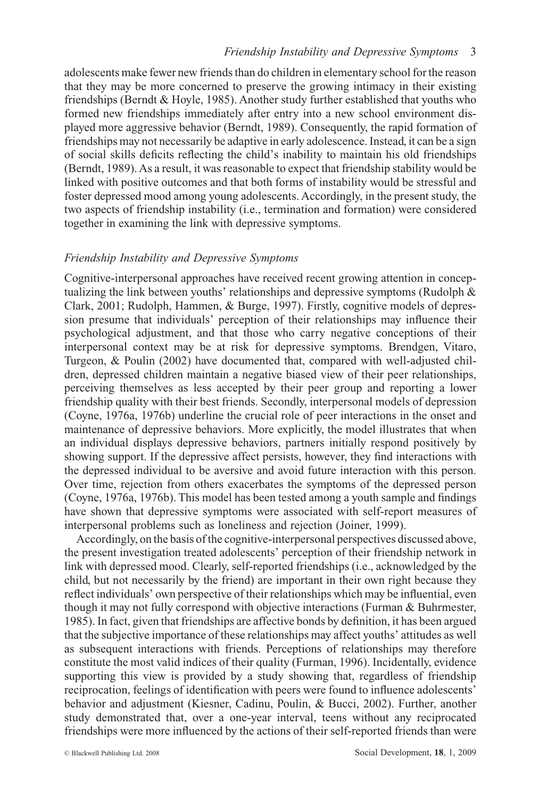adolescents make fewer new friends than do children in elementary school for the reason that they may be more concerned to preserve the growing intimacy in their existing friendships (Berndt & Hoyle, 1985). Another study further established that youths who formed new friendships immediately after entry into a new school environment displayed more aggressive behavior (Berndt, 1989). Consequently, the rapid formation of friendships may not necessarily be adaptive in early adolescence. Instead, it can be a sign of social skills deficits reflecting the child's inability to maintain his old friendships (Berndt, 1989). As a result, it was reasonable to expect that friendship stability would be linked with positive outcomes and that both forms of instability would be stressful and foster depressed mood among young adolescents. Accordingly, in the present study, the two aspects of friendship instability (i.e., termination and formation) were considered together in examining the link with depressive symptoms.

### *Friendship Instability and Depressive Symptoms*

Cognitive-interpersonal approaches have received recent growing attention in conceptualizing the link between youths' relationships and depressive symptoms (Rudolph  $\&$ Clark, 2001; Rudolph, Hammen, & Burge, 1997). Firstly, cognitive models of depression presume that individuals' perception of their relationships may influence their psychological adjustment, and that those who carry negative conceptions of their interpersonal context may be at risk for depressive symptoms. Brendgen, Vitaro, Turgeon, & Poulin (2002) have documented that, compared with well-adjusted children, depressed children maintain a negative biased view of their peer relationships, perceiving themselves as less accepted by their peer group and reporting a lower friendship quality with their best friends. Secondly, interpersonal models of depression (Coyne, 1976a, 1976b) underline the crucial role of peer interactions in the onset and maintenance of depressive behaviors. More explicitly, the model illustrates that when an individual displays depressive behaviors, partners initially respond positively by showing support. If the depressive affect persists, however, they find interactions with the depressed individual to be aversive and avoid future interaction with this person. Over time, rejection from others exacerbates the symptoms of the depressed person (Coyne, 1976a, 1976b). This model has been tested among a youth sample and findings have shown that depressive symptoms were associated with self-report measures of interpersonal problems such as loneliness and rejection (Joiner, 1999).

Accordingly, on the basis of the cognitive-interpersonal perspectives discussed above, the present investigation treated adolescents' perception of their friendship network in link with depressed mood. Clearly, self-reported friendships (i.e., acknowledged by the child, but not necessarily by the friend) are important in their own right because they reflect individuals' own perspective of their relationships which may be influential, even though it may not fully correspond with objective interactions (Furman & Buhrmester, 1985). In fact, given that friendships are affective bonds by definition, it has been argued that the subjective importance of these relationships may affect youths' attitudes as well as subsequent interactions with friends. Perceptions of relationships may therefore constitute the most valid indices of their quality (Furman, 1996). Incidentally, evidence supporting this view is provided by a study showing that, regardless of friendship reciprocation, feelings of identification with peers were found to influence adolescents' behavior and adjustment (Kiesner, Cadinu, Poulin, & Bucci, 2002). Further, another study demonstrated that, over a one-year interval, teens without any reciprocated friendships were more influenced by the actions of their self-reported friends than were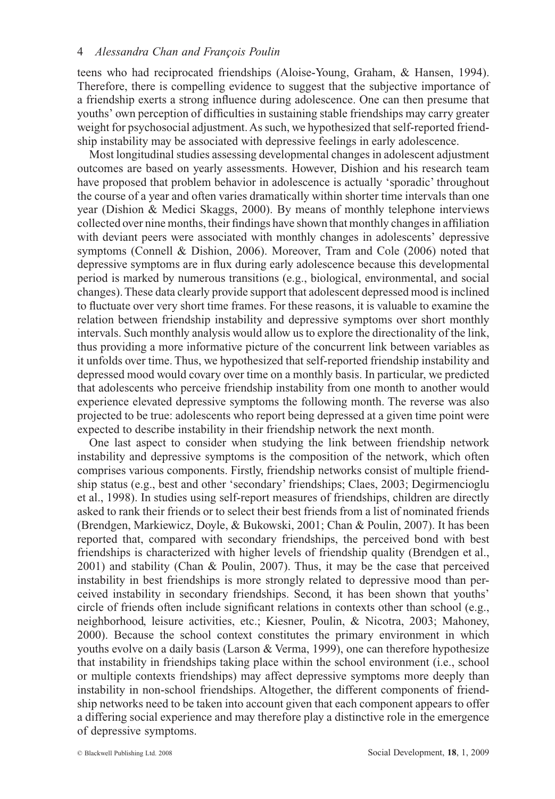teens who had reciprocated friendships (Aloise-Young, Graham, & Hansen, 1994). Therefore, there is compelling evidence to suggest that the subjective importance of a friendship exerts a strong influence during adolescence. One can then presume that youths' own perception of difficulties in sustaining stable friendships may carry greater weight for psychosocial adjustment. As such, we hypothesized that self-reported friendship instability may be associated with depressive feelings in early adolescence.

Most longitudinal studies assessing developmental changes in adolescent adjustment outcomes are based on yearly assessments. However, Dishion and his research team have proposed that problem behavior in adolescence is actually 'sporadic' throughout the course of a year and often varies dramatically within shorter time intervals than one year (Dishion & Medici Skaggs, 2000). By means of monthly telephone interviews collected over nine months, their findings have shown that monthly changes in affiliation with deviant peers were associated with monthly changes in adolescents' depressive symptoms (Connell & Dishion, 2006). Moreover, Tram and Cole (2006) noted that depressive symptoms are in flux during early adolescence because this developmental period is marked by numerous transitions (e.g., biological, environmental, and social changes). These data clearly provide support that adolescent depressed mood is inclined to fluctuate over very short time frames. For these reasons, it is valuable to examine the relation between friendship instability and depressive symptoms over short monthly intervals. Such monthly analysis would allow us to explore the directionality of the link, thus providing a more informative picture of the concurrent link between variables as it unfolds over time. Thus, we hypothesized that self-reported friendship instability and depressed mood would covary over time on a monthly basis. In particular, we predicted that adolescents who perceive friendship instability from one month to another would experience elevated depressive symptoms the following month. The reverse was also projected to be true: adolescents who report being depressed at a given time point were expected to describe instability in their friendship network the next month.

One last aspect to consider when studying the link between friendship network instability and depressive symptoms is the composition of the network, which often comprises various components. Firstly, friendship networks consist of multiple friendship status (e.g., best and other 'secondary' friendships; Claes, 2003; Degirmencioglu et al., 1998). In studies using self-report measures of friendships, children are directly asked to rank their friends or to select their best friends from a list of nominated friends (Brendgen, Markiewicz, Doyle, & Bukowski, 2001; Chan & Poulin, 2007). It has been reported that, compared with secondary friendships, the perceived bond with best friendships is characterized with higher levels of friendship quality (Brendgen et al., 2001) and stability (Chan & Poulin, 2007). Thus, it may be the case that perceived instability in best friendships is more strongly related to depressive mood than perceived instability in secondary friendships. Second, it has been shown that youths' circle of friends often include significant relations in contexts other than school (e.g., neighborhood, leisure activities, etc.; Kiesner, Poulin, & Nicotra, 2003; Mahoney, 2000). Because the school context constitutes the primary environment in which youths evolve on a daily basis (Larson & Verma, 1999), one can therefore hypothesize that instability in friendships taking place within the school environment (i.e., school or multiple contexts friendships) may affect depressive symptoms more deeply than instability in non-school friendships. Altogether, the different components of friendship networks need to be taken into account given that each component appears to offer a differing social experience and may therefore play a distinctive role in the emergence of depressive symptoms.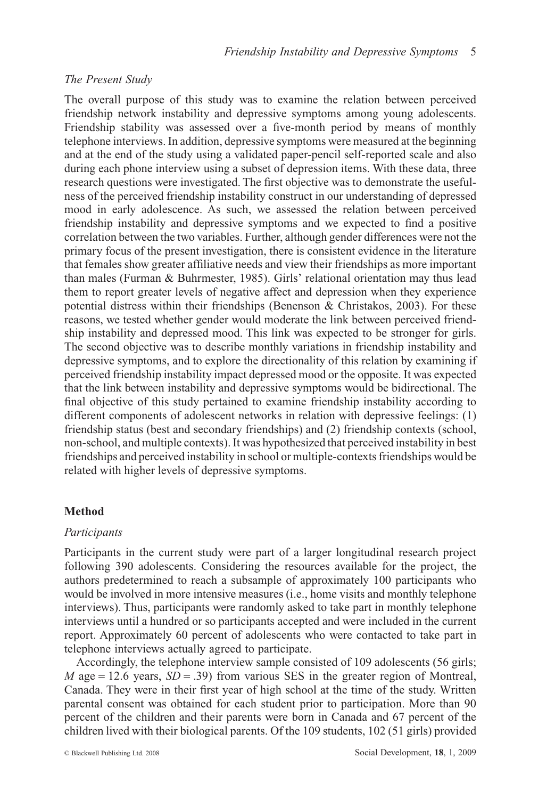#### *The Present Study*

The overall purpose of this study was to examine the relation between perceived friendship network instability and depressive symptoms among young adolescents. Friendship stability was assessed over a five-month period by means of monthly telephone interviews. In addition, depressive symptoms were measured at the beginning and at the end of the study using a validated paper-pencil self-reported scale and also during each phone interview using a subset of depression items. With these data, three research questions were investigated. The first objective was to demonstrate the usefulness of the perceived friendship instability construct in our understanding of depressed mood in early adolescence. As such, we assessed the relation between perceived friendship instability and depressive symptoms and we expected to find a positive correlation between the two variables. Further, although gender differences were not the primary focus of the present investigation, there is consistent evidence in the literature that females show greater affiliative needs and view their friendships as more important than males (Furman & Buhrmester, 1985). Girls' relational orientation may thus lead them to report greater levels of negative affect and depression when they experience potential distress within their friendships (Benenson  $\&$  Christakos, 2003). For these reasons, we tested whether gender would moderate the link between perceived friendship instability and depressed mood. This link was expected to be stronger for girls. The second objective was to describe monthly variations in friendship instability and depressive symptoms, and to explore the directionality of this relation by examining if perceived friendship instability impact depressed mood or the opposite. It was expected that the link between instability and depressive symptoms would be bidirectional. The final objective of this study pertained to examine friendship instability according to different components of adolescent networks in relation with depressive feelings: (1) friendship status (best and secondary friendships) and (2) friendship contexts (school, non-school, and multiple contexts). It was hypothesized that perceived instability in best friendships and perceived instability in school or multiple-contexts friendships would be related with higher levels of depressive symptoms.

#### **Method**

#### *Participants*

Participants in the current study were part of a larger longitudinal research project following 390 adolescents. Considering the resources available for the project, the authors predetermined to reach a subsample of approximately 100 participants who would be involved in more intensive measures (i.e., home visits and monthly telephone interviews). Thus, participants were randomly asked to take part in monthly telephone interviews until a hundred or so participants accepted and were included in the current report. Approximately 60 percent of adolescents who were contacted to take part in telephone interviews actually agreed to participate.

Accordingly, the telephone interview sample consisted of 109 adolescents (56 girls; *M* age = 12.6 years,  $SD = .39$  from various SES in the greater region of Montreal, Canada. They were in their first year of high school at the time of the study. Written parental consent was obtained for each student prior to participation. More than 90 percent of the children and their parents were born in Canada and 67 percent of the children lived with their biological parents. Of the 109 students, 102 (51 girls) provided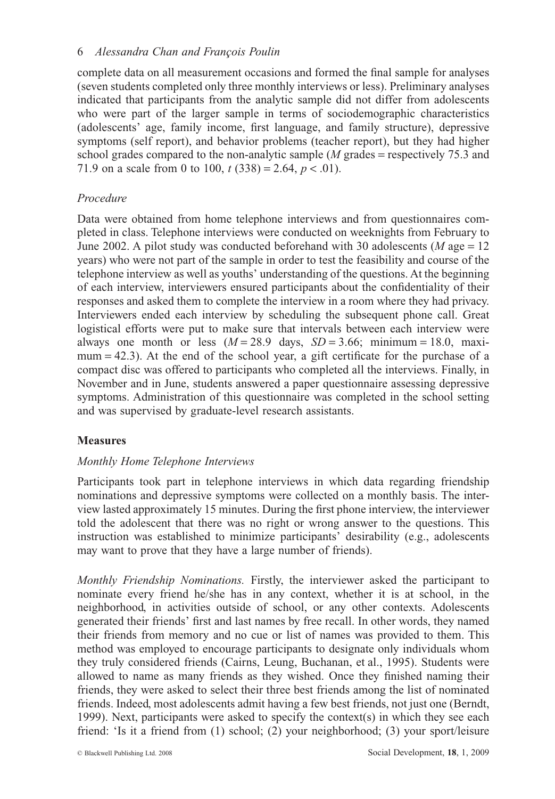complete data on all measurement occasions and formed the final sample for analyses (seven students completed only three monthly interviews or less). Preliminary analyses indicated that participants from the analytic sample did not differ from adolescents who were part of the larger sample in terms of sociodemographic characteristics (adolescents' age, family income, first language, and family structure), depressive symptoms (self report), and behavior problems (teacher report), but they had higher school grades compared to the non-analytic sample (*M* grades = respectively 75.3 and 71.9 on a scale from 0 to 100,  $t(338) = 2.64$ ,  $p < .01$ ).

## *Procedure*

Data were obtained from home telephone interviews and from questionnaires completed in class. Telephone interviews were conducted on weeknights from February to June 2002. A pilot study was conducted beforehand with 30 adolescents ( $M$  age = 12 years) who were not part of the sample in order to test the feasibility and course of the telephone interview as well as youths' understanding of the questions. At the beginning of each interview, interviewers ensured participants about the confidentiality of their responses and asked them to complete the interview in a room where they had privacy. Interviewers ended each interview by scheduling the subsequent phone call. Great logistical efforts were put to make sure that intervals between each interview were always one month or less  $(M = 28.9$  days,  $SD = 3.66$ ; minimum = 18.0, maxi $mum = 42.3$ ). At the end of the school year, a gift certificate for the purchase of a compact disc was offered to participants who completed all the interviews. Finally, in November and in June, students answered a paper questionnaire assessing depressive symptoms. Administration of this questionnaire was completed in the school setting and was supervised by graduate-level research assistants.

# **Measures**

# *Monthly Home Telephone Interviews*

Participants took part in telephone interviews in which data regarding friendship nominations and depressive symptoms were collected on a monthly basis. The interview lasted approximately 15 minutes. During the first phone interview, the interviewer told the adolescent that there was no right or wrong answer to the questions. This instruction was established to minimize participants' desirability (e.g., adolescents may want to prove that they have a large number of friends).

*Monthly Friendship Nominations.* Firstly, the interviewer asked the participant to nominate every friend he/she has in any context, whether it is at school, in the neighborhood, in activities outside of school, or any other contexts. Adolescents generated their friends' first and last names by free recall. In other words, they named their friends from memory and no cue or list of names was provided to them. This method was employed to encourage participants to designate only individuals whom they truly considered friends (Cairns, Leung, Buchanan, et al., 1995). Students were allowed to name as many friends as they wished. Once they finished naming their friends, they were asked to select their three best friends among the list of nominated friends. Indeed, most adolescents admit having a few best friends, not just one (Berndt, 1999). Next, participants were asked to specify the context(s) in which they see each friend: 'Is it a friend from (1) school; (2) your neighborhood; (3) your sport/leisure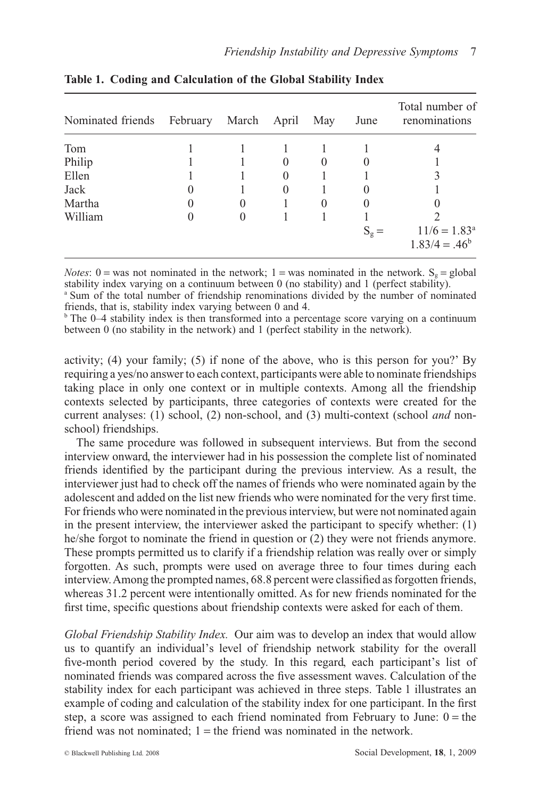| Nominated friends | February | March    | April    | May      | June    | Total number of<br>renominations              |
|-------------------|----------|----------|----------|----------|---------|-----------------------------------------------|
| Tom               |          |          |          |          |         |                                               |
| Philip            |          |          | $\theta$ | $\theta$ |         |                                               |
| Ellen             |          |          | 0        |          |         |                                               |
| Jack              | $\theta$ |          | $\theta$ |          |         |                                               |
| Martha            | 0        | $\theta$ |          | $\theta$ |         |                                               |
| William           |          | $\theta$ |          |          |         |                                               |
|                   |          |          |          |          | $S_g =$ | $11/6 = 1.83$ <sup>a</sup><br>$1.83/4 = .46b$ |

**Table 1. Coding and Calculation of the Global Stability Index**

*Notes*: 0 = was not nominated in the network; 1 = was nominated in the network.  $S_g =$  global stability index varying on a continuum between 0 (no stability) and 1 (perfect stability).

<sup>a</sup> Sum of the total number of friendship renominations divided by the number of nominated friends, that is, stability index varying between 0 and 4.

<sup>b</sup> The 0–4 stability index is then transformed into a percentage score varying on a continuum between 0 (no stability in the network) and 1 (perfect stability in the network).

activity; (4) your family; (5) if none of the above, who is this person for you?' By requiring a yes/no answer to each context, participants were able to nominate friendships taking place in only one context or in multiple contexts. Among all the friendship contexts selected by participants, three categories of contexts were created for the current analyses: (1) school, (2) non-school, and (3) multi-context (school *and* nonschool) friendships.

The same procedure was followed in subsequent interviews. But from the second interview onward, the interviewer had in his possession the complete list of nominated friends identified by the participant during the previous interview. As a result, the interviewer just had to check off the names of friends who were nominated again by the adolescent and added on the list new friends who were nominated for the very first time. For friends who were nominated in the previous interview, but were not nominated again in the present interview, the interviewer asked the participant to specify whether:  $(1)$ he/she forgot to nominate the friend in question or (2) they were not friends anymore. These prompts permitted us to clarify if a friendship relation was really over or simply forgotten. As such, prompts were used on average three to four times during each interview.Among the prompted names, 68.8 percent were classified as forgotten friends, whereas 31.2 percent were intentionally omitted. As for new friends nominated for the first time, specific questions about friendship contexts were asked for each of them.

*Global Friendship Stability Index.* Our aim was to develop an index that would allow us to quantify an individual's level of friendship network stability for the overall five-month period covered by the study. In this regard, each participant's list of nominated friends was compared across the five assessment waves. Calculation of the stability index for each participant was achieved in three steps. Table 1 illustrates an example of coding and calculation of the stability index for one participant. In the first step, a score was assigned to each friend nominated from February to June:  $0 =$  the friend was not nominated;  $1 =$  the friend was nominated in the network.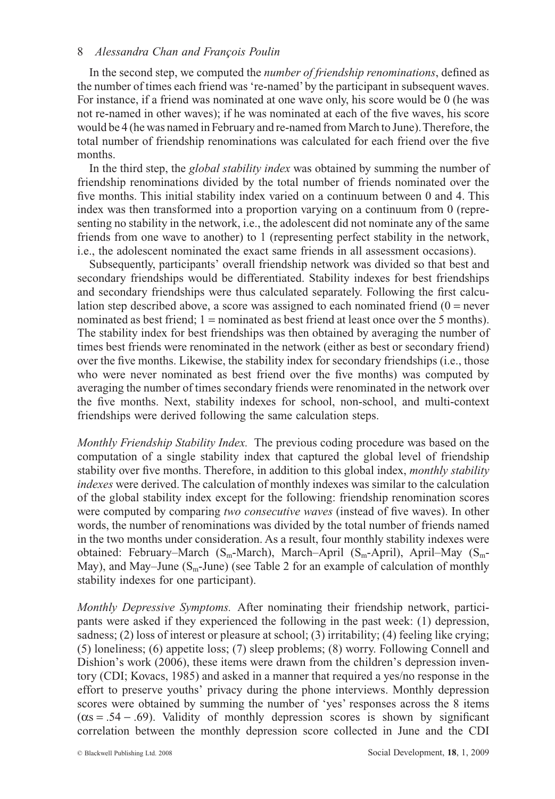In the second step, we computed the *number of friendship renominations*, defined as the number of times each friend was 're-named'by the participant in subsequent waves. For instance, if a friend was nominated at one wave only, his score would be 0 (he was not re-named in other waves); if he was nominated at each of the five waves, his score would be 4 (he was named in February and re-named from March to June).Therefore, the total number of friendship renominations was calculated for each friend over the five months.

In the third step, the *global stability index* was obtained by summing the number of friendship renominations divided by the total number of friends nominated over the five months. This initial stability index varied on a continuum between 0 and 4. This index was then transformed into a proportion varying on a continuum from 0 (representing no stability in the network, i.e., the adolescent did not nominate any of the same friends from one wave to another) to 1 (representing perfect stability in the network, i.e., the adolescent nominated the exact same friends in all assessment occasions).

Subsequently, participants' overall friendship network was divided so that best and secondary friendships would be differentiated. Stability indexes for best friendships and secondary friendships were thus calculated separately. Following the first calculation step described above, a score was assigned to each nominated friend  $(0 = never$ nominated as best friend; 1 = nominated as best friend at least once over the 5 months). The stability index for best friendships was then obtained by averaging the number of times best friends were renominated in the network (either as best or secondary friend) over the five months. Likewise, the stability index for secondary friendships (i.e., those who were never nominated as best friend over the five months) was computed by averaging the number of times secondary friends were renominated in the network over the five months. Next, stability indexes for school, non-school, and multi-context friendships were derived following the same calculation steps.

*Monthly Friendship Stability Index.* The previous coding procedure was based on the computation of a single stability index that captured the global level of friendship stability over five months. Therefore, in addition to this global index, *monthly stability indexes* were derived. The calculation of monthly indexes was similar to the calculation of the global stability index except for the following: friendship renomination scores were computed by comparing *two consecutive waves* (instead of five waves). In other words, the number of renominations was divided by the total number of friends named in the two months under consideration. As a result, four monthly stability indexes were obtained: February–March (Sm-March), March–April (Sm-April), April–May (Sm-May), and May–June  $(S_m$ -June) (see Table 2 for an example of calculation of monthly stability indexes for one participant).

*Monthly Depressive Symptoms.* After nominating their friendship network, participants were asked if they experienced the following in the past week: (1) depression, sadness; (2) loss of interest or pleasure at school; (3) irritability; (4) feeling like crying; (5) loneliness; (6) appetite loss; (7) sleep problems; (8) worry. Following Connell and Dishion's work (2006), these items were drawn from the children's depression inventory (CDI; Kovacs, 1985) and asked in a manner that required a yes/no response in the effort to preserve youths' privacy during the phone interviews. Monthly depression scores were obtained by summing the number of 'yes' responses across the 8 items  $(\alpha s = .54 - .69)$ . Validity of monthly depression scores is shown by significant correlation between the monthly depression score collected in June and the CDI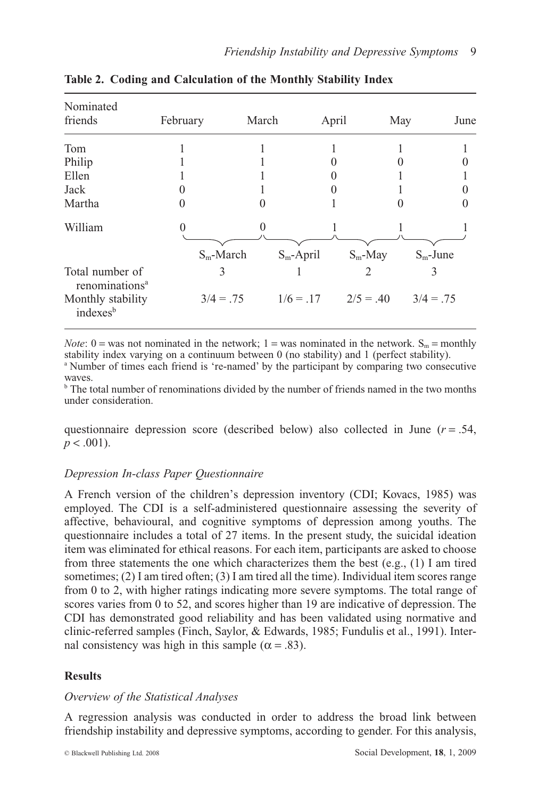| Nominated<br>friends                          | February | March        | April                     | May        | June        |
|-----------------------------------------------|----------|--------------|---------------------------|------------|-------------|
| Tom                                           |          |              |                           |            |             |
| Philip                                        |          |              |                           |            |             |
| Ellen                                         |          |              |                           |            |             |
| Jack                                          |          |              |                           |            |             |
| Martha                                        |          |              |                           |            |             |
| William                                       |          |              |                           |            |             |
|                                               |          | $S_m$ -March | $S_m$ -April              | $S_m$ -May | $S_m$ -June |
| Total number of<br>renominations <sup>a</sup> |          | 3            |                           | 2          | 3           |
| Monthly stability<br>indexes <sup>b</sup>     |          | $3/4 = .75$  | $1/6 = 0.17$ $2/5 = 0.40$ |            | $3/4 = .75$ |

**Table 2. Coding and Calculation of the Monthly Stability Index**

*Note*:  $0 =$  was not nominated in the network;  $1 =$  was nominated in the network.  $S_m =$  monthly stability index varying on a continuum between 0 (no stability) and 1 (perfect stability).

<sup>a</sup> Number of times each friend is 're-named' by the participant by comparing two consecutive waves.

<sup>b</sup> The total number of renominations divided by the number of friends named in the two months under consideration.

questionnaire depression score (described below) also collected in June (*r* = .54,  $p < .001$ ).

#### *Depression In-class Paper Questionnaire*

A French version of the children's depression inventory (CDI; Kovacs, 1985) was employed. The CDI is a self-administered questionnaire assessing the severity of affective, behavioural, and cognitive symptoms of depression among youths. The questionnaire includes a total of 27 items. In the present study, the suicidal ideation item was eliminated for ethical reasons. For each item, participants are asked to choose from three statements the one which characterizes them the best (e.g.,  $(1)$  I am tired sometimes; (2) I am tired often; (3) I am tired all the time). Individual item scores range from 0 to 2, with higher ratings indicating more severe symptoms. The total range of scores varies from 0 to 52, and scores higher than 19 are indicative of depression. The CDI has demonstrated good reliability and has been validated using normative and clinic-referred samples (Finch, Saylor, & Edwards, 1985; Fundulis et al., 1991). Internal consistency was high in this sample ( $\alpha$  = .83).

### **Results**

#### *Overview of the Statistical Analyses*

A regression analysis was conducted in order to address the broad link between friendship instability and depressive symptoms, according to gender. For this analysis,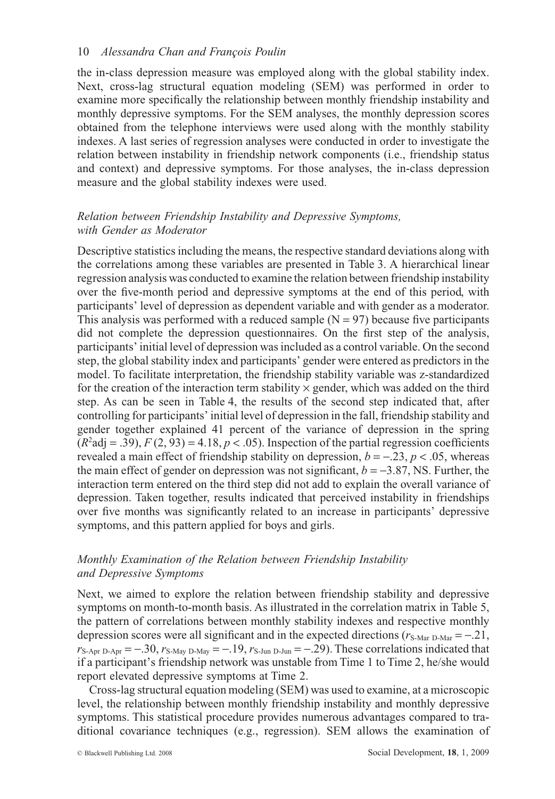the in-class depression measure was employed along with the global stability index. Next, cross-lag structural equation modeling (SEM) was performed in order to examine more specifically the relationship between monthly friendship instability and monthly depressive symptoms. For the SEM analyses, the monthly depression scores obtained from the telephone interviews were used along with the monthly stability indexes. A last series of regression analyses were conducted in order to investigate the relation between instability in friendship network components (i.e., friendship status and context) and depressive symptoms. For those analyses, the in-class depression measure and the global stability indexes were used.

## *Relation between Friendship Instability and Depressive Symptoms, with Gender as Moderator*

Descriptive statistics including the means, the respective standard deviations along with the correlations among these variables are presented in Table 3. A hierarchical linear regression analysis was conducted to examine the relation between friendship instability over the five-month period and depressive symptoms at the end of this period, with participants' level of depression as dependent variable and with gender as a moderator. This analysis was performed with a reduced sample  $(N = 97)$  because five participants did not complete the depression questionnaires. On the first step of the analysis, participants' initial level of depression was included as a control variable. On the second step, the global stability index and participants' gender were entered as predictors in the model. To facilitate interpretation, the friendship stability variable was z-standardized for the creation of the interaction term stability  $\times$  gender, which was added on the third step. As can be seen in Table 4, the results of the second step indicated that, after controlling for participants' initial level of depression in the fall, friendship stability and gender together explained 41 percent of the variance of depression in the spring  $(R^2$ adj = .39),  $F(2, 93) = 4.18$ ,  $p < .05$ ). Inspection of the partial regression coefficients revealed a main effect of friendship stability on depression,  $b = -23$ ,  $p < .05$ , whereas the main effect of gender on depression was not significant,  $b = -3.87$ , NS. Further, the interaction term entered on the third step did not add to explain the overall variance of depression. Taken together, results indicated that perceived instability in friendships over five months was significantly related to an increase in participants' depressive symptoms, and this pattern applied for boys and girls.

## *Monthly Examination of the Relation between Friendship Instability and Depressive Symptoms*

Next, we aimed to explore the relation between friendship stability and depressive symptoms on month-to-month basis. As illustrated in the correlation matrix in Table 5, the pattern of correlations between monthly stability indexes and respective monthly depression scores were all significant and in the expected directions ( $r_{\text{S-Mar D-Mar}} = -0.21$ ,  $r_{S-Aor D-Apr} = -.30$ ,  $r_{S-Mav D-May} = -.19$ ,  $r_{S-Jun D-Jun} = -.29$ ). These correlations indicated that if a participant's friendship network was unstable from Time 1 to Time 2, he/she would report elevated depressive symptoms at Time 2.

Cross-lag structural equation modeling (SEM) was used to examine, at a microscopic level, the relationship between monthly friendship instability and monthly depressive symptoms. This statistical procedure provides numerous advantages compared to traditional covariance techniques (e.g., regression). SEM allows the examination of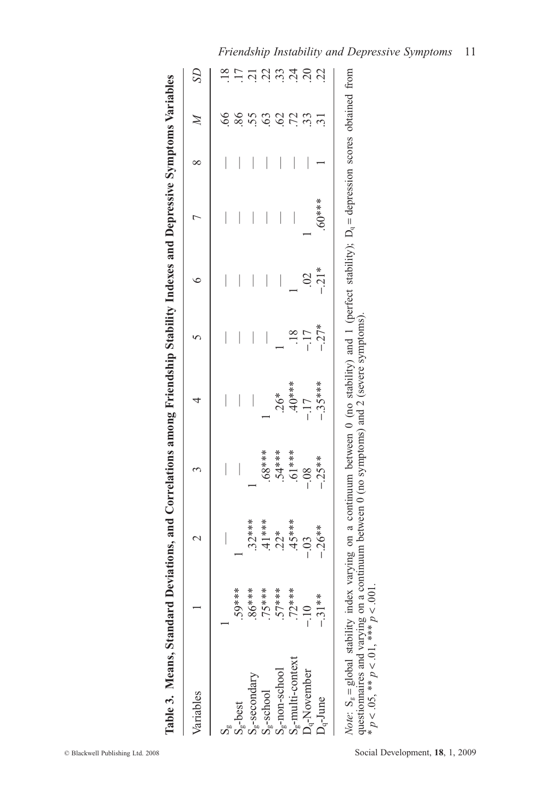|          |           |                      |                |               |         | $\mathbb{Z}$ | $\overline{S}$                                                                                                                                                            |
|----------|-----------|----------------------|----------------|---------------|---------|--------------|---------------------------------------------------------------------------------------------------------------------------------------------------------------------------|
|          |           |                      |                |               |         | 66           |                                                                                                                                                                           |
|          |           |                      |                |               |         |              |                                                                                                                                                                           |
| $.32***$ |           |                      |                |               |         |              |                                                                                                                                                                           |
| $.41***$ | $***88.$  |                      |                |               |         |              |                                                                                                                                                                           |
| $22*$    | .54****   | $.26*$               |                |               |         |              |                                                                                                                                                                           |
| $45***$  | $****19.$ | $40***$              | $\frac{8}{18}$ |               |         |              | ភ្នង ដុង                                                                                                                                                                  |
| $-.03$   |           | $-17$                | $-17$          | $\mathcal{S}$ |         |              |                                                                                                                                                                           |
| $-.26**$ |           |                      | $-27*$         |               | $***0$  |              | 22                                                                                                                                                                        |
|          |           |                      |                |               |         |              |                                                                                                                                                                           |
|          |           | $-.25***$<br>$-0.08$ | $-.35***$      |               | $-.21*$ |              | Note: $S_g =$ global stability index varying on a continuum between 0 (no stability) and 1 (perfect stability); $D_q =$ depression scores obtained from<br>8.58<br>9.7.57 |

questionnaires and varying on a continuum between 0 (no symptoms) and 2 (severe symptoms). \*  $p < 0.05$ , \*\*  $p < 0.01$ , \*\*\*  $p < 0.001$ .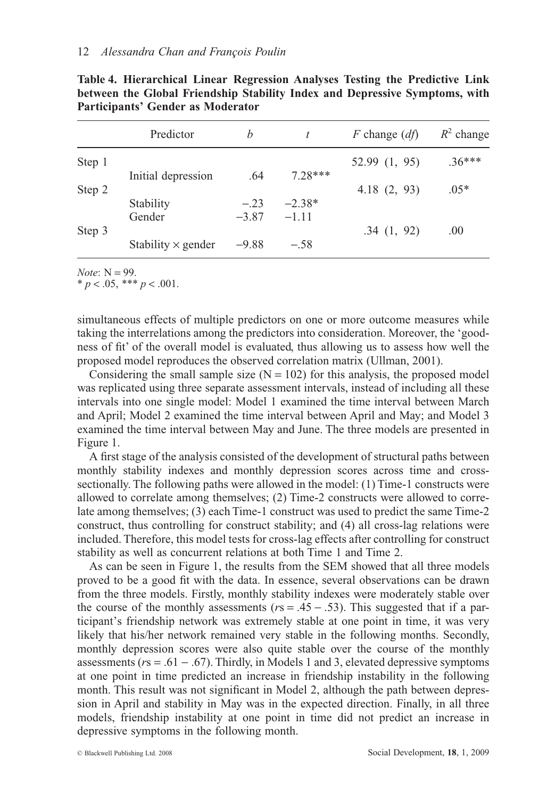|        | Predictor                 | h       | t         | $F$ change $(df)$ | $R^2$ change |
|--------|---------------------------|---------|-----------|-------------------|--------------|
| Step 1 |                           |         |           | 52.99 (1, 95)     | $.36***$     |
|        | Initial depression        | .64     | $7.28***$ |                   |              |
| Step 2 |                           |         |           | 4.18(2, 93)       | $.05*$       |
|        | Stability                 | $-.23$  | $-2.38*$  |                   |              |
|        | Gender                    | $-3.87$ | $-1.11$   |                   |              |
| Step 3 |                           |         |           | .34(1, 92)        | .00.         |
|        | Stability $\times$ gender | $-9.88$ | $-.58$    |                   |              |

**Table 4. Hierarchical Linear Regression Analyses Testing the Predictive Link between the Global Friendship Stability Index and Depressive Symptoms, with Participants' Gender as Moderator**

*Note*: N = 99.

 $* p < .05, ** p < .001.$ 

simultaneous effects of multiple predictors on one or more outcome measures while taking the interrelations among the predictors into consideration. Moreover, the 'goodness of fit' of the overall model is evaluated, thus allowing us to assess how well the proposed model reproduces the observed correlation matrix (Ullman, 2001).

Considering the small sample size  $(N = 102)$  for this analysis, the proposed model was replicated using three separate assessment intervals, instead of including all these intervals into one single model: Model 1 examined the time interval between March and April; Model 2 examined the time interval between April and May; and Model 3 examined the time interval between May and June. The three models are presented in Figure 1.

A first stage of the analysis consisted of the development of structural paths between monthly stability indexes and monthly depression scores across time and crosssectionally. The following paths were allowed in the model: (1) Time-1 constructs were allowed to correlate among themselves; (2) Time-2 constructs were allowed to correlate among themselves; (3) each Time-1 construct was used to predict the same Time-2 construct, thus controlling for construct stability; and (4) all cross-lag relations were included. Therefore, this model tests for cross-lag effects after controlling for construct stability as well as concurrent relations at both Time 1 and Time 2.

As can be seen in Figure 1, the results from the SEM showed that all three models proved to be a good fit with the data. In essence, several observations can be drawn from the three models. Firstly, monthly stability indexes were moderately stable over the course of the monthly assessments ( $rs = .45 - .53$ ). This suggested that if a participant's friendship network was extremely stable at one point in time, it was very likely that his/her network remained very stable in the following months. Secondly, monthly depression scores were also quite stable over the course of the monthly assessments ( $rs = .61 - .67$ ). Thirdly, in Models 1 and 3, elevated depressive symptoms at one point in time predicted an increase in friendship instability in the following month. This result was not significant in Model 2, although the path between depression in April and stability in May was in the expected direction. Finally, in all three models, friendship instability at one point in time did not predict an increase in depressive symptoms in the following month.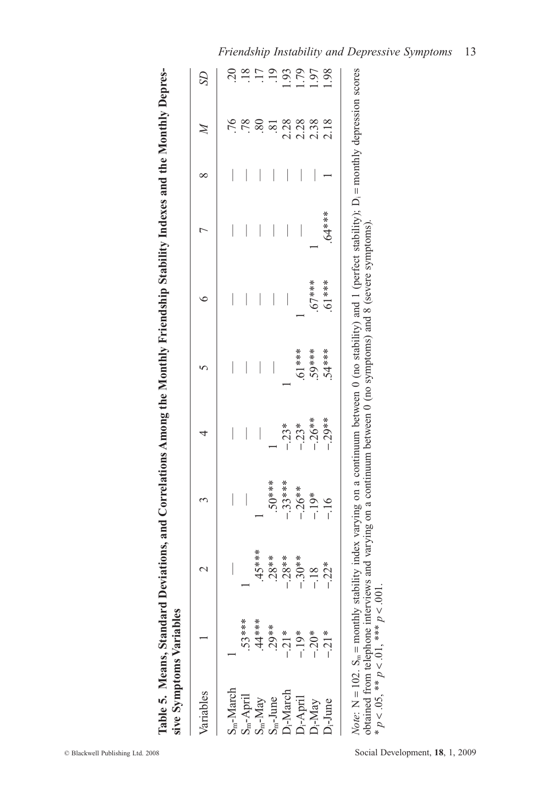| Table 5. Means, Standard Deviations, and Correlations Among the Monthly Friendship Stability Indexes and the Monthly Depres-<br>sive Symptoms Variables |          |              |           |           |        |          |          |      |                |
|---------------------------------------------------------------------------------------------------------------------------------------------------------|----------|--------------|-----------|-----------|--------|----------|----------|------|----------------|
| Variables                                                                                                                                               |          |              |           |           |        |          |          |      | $\overline{S}$ |
| $S_m$ -March                                                                                                                                            |          |              |           |           |        |          |          |      |                |
|                                                                                                                                                         | $.53***$ |              |           |           |        |          |          |      | 3.48           |
| $S_m$ -April<br>$S_m$ -May                                                                                                                              | $.44***$ | $45***$      |           |           |        |          |          |      |                |
| $S_m$ -June                                                                                                                                             | $.29**$  | $.28**$      | $50***$   |           |        |          |          |      | $\ddot{.}$     |
| D <sub>i</sub> -March                                                                                                                                   | $-.21*$  | $-28**$      | $-33***$  | $-.23*$   |        |          |          |      |                |
| $D_i$ -April                                                                                                                                            | $-19*$   | $.30**$<br>Ī | $-.26***$ | $-.23*$   | $***$  |          |          |      | 1.93           |
| D <sub>i</sub> -May                                                                                                                                     | $-.20*$  | $-18$        | $-.19*$   | $-.26***$ | .59*** | $.67***$ |          |      | 1.97           |
| $D_i$ -June                                                                                                                                             | $-21*$   | $.22*$<br>I  | $-16$     | $-.29**$  | .54*** | $***$    | $-64***$ | 2.18 | 1.98           |

| l<br>ļ                        |                       |
|-------------------------------|-----------------------|
| l                             |                       |
| ļ                             |                       |
| $\overline{\phantom{a}}$<br>J |                       |
| $\ddot{\bm{\zeta}}$           |                       |
| ו<br>ו                        |                       |
| Î<br>֠                        | i<br>į<br>l<br>֠      |
| Ξ.<br>ايا<br>د<br>ים<br>שונים | ļ<br>i<br>Ï<br>l<br>l |

*Note*: N = 102. Sm = monthly stability index varying on a continuum between 0 (no stability) and 1 (perfect stability); Di = monthly depression scores obtained from telephone interviews and varying on a continuum between 0 (no symptoms) and 8 (severe symptoms). \*  $p < 0.05$ , \*\*  $p < 0.01$ , \*\*\*  $p < 0.001$ .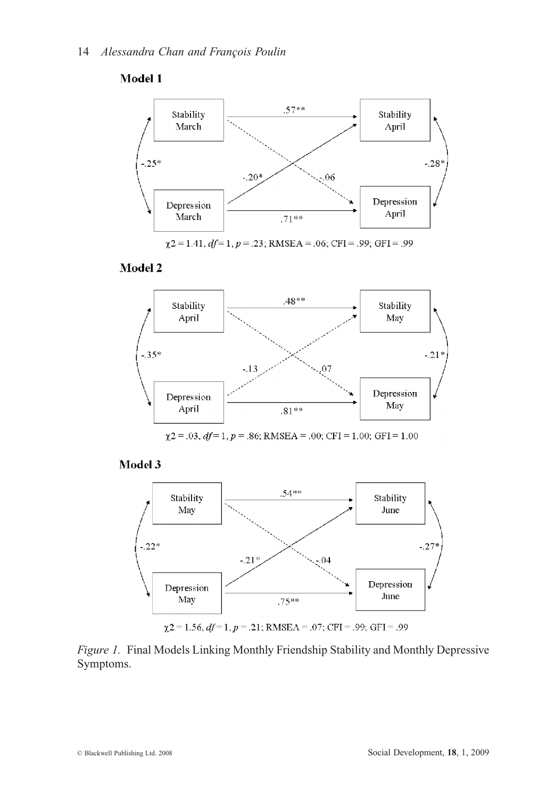

 $\chi$ 2 = 1.41,  $df$  = 1, p = .23; RMSEA = .06; CFI = .99; GFI = .99





 $\chi$ 2 = .03, df = 1, p = .86; RMSEA = .00; CFI = 1.00; GFI = 1.00

Model 3



 $\chi$ 2 = 1.56,  $df$  = 1, p = .21; RMSEA = .07; CFI = .99; GFI = .99

*Figure 1.* Final Models Linking Monthly Friendship Stability and Monthly Depressive Symptoms.

Model 1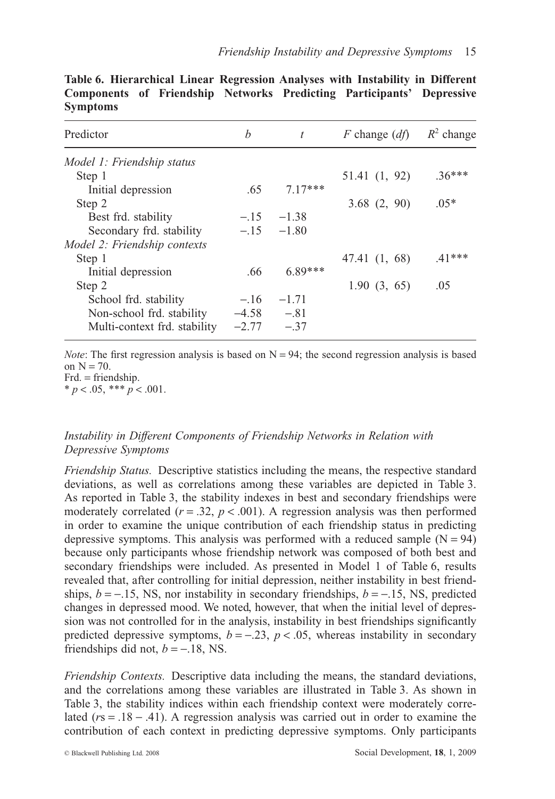| Predictor                    | h       | $\bar{t}$    | F change $(df)$ | $R^2$ change |
|------------------------------|---------|--------------|-----------------|--------------|
| Model 1: Friendship status   |         |              |                 |              |
| Step 1                       |         |              | 51.41 (1, 92)   | $.36***$     |
| Initial depression           | .65     | $7.17***$    |                 |              |
| Step 2                       |         |              | 3.68(2, 90)     | $.05*$       |
| Best frd. stability          | $-.15$  | $-1.38$      |                 |              |
| Secondary frd. stability     |         | $-.15 -1.80$ |                 |              |
| Model 2: Friendship contexts |         |              |                 |              |
| Step 1                       |         |              | 47.41 (1, 68)   | $.41***$     |
| Initial depression           | .66     | $6.89***$    |                 |              |
| Step 2                       |         |              | 1.90(3, 65)     | .05          |
| School frd. stability        | $-.16$  | $-1.71$      |                 |              |
| Non-school frd. stability    | $-4.58$ | $-.81$       |                 |              |
| Multi-context frd. stability | $-2.77$ | $-.37$       |                 |              |

**Table 6. Hierarchical Linear Regression Analyses with Instability in Different Components of Friendship Networks Predicting Participants' Depressive Symptoms**

*Note*: The first regression analysis is based on  $N = 94$ ; the second regression analysis is based on  $N = 70$ . Frd. = friendship.

 $* p < .05, ** \hat{p} < .001.$ 

# *Instability in Different Components of Friendship Networks in Relation with Depressive Symptoms*

*Friendship Status.* Descriptive statistics including the means, the respective standard deviations, as well as correlations among these variables are depicted in Table 3. As reported in Table 3, the stability indexes in best and secondary friendships were moderately correlated  $(r = .32, p < .001)$ . A regression analysis was then performed in order to examine the unique contribution of each friendship status in predicting depressive symptoms. This analysis was performed with a reduced sample  $(N = 94)$ because only participants whose friendship network was composed of both best and secondary friendships were included. As presented in Model 1 of Table 6, results revealed that, after controlling for initial depression, neither instability in best friendships,  $b = -.15$ , NS, nor instability in secondary friendships,  $b = -.15$ , NS, predicted changes in depressed mood. We noted, however, that when the initial level of depression was not controlled for in the analysis, instability in best friendships significantly predicted depressive symptoms,  $b = -.23$ ,  $p < .05$ , whereas instability in secondary friendships did not,  $b = -.18$ , NS.

*Friendship Contexts.* Descriptive data including the means, the standard deviations, and the correlations among these variables are illustrated in Table 3. As shown in Table 3, the stability indices within each friendship context were moderately correlated  $(rs = .18 - .41)$ . A regression analysis was carried out in order to examine the contribution of each context in predicting depressive symptoms. Only participants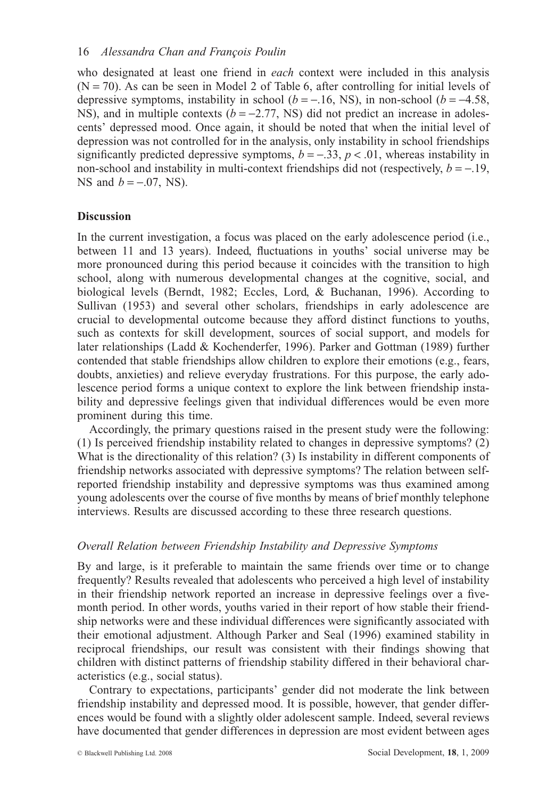who designated at least one friend in *each* context were included in this analysis  $(N = 70)$ . As can be seen in Model 2 of Table 6, after controlling for initial levels of depressive symptoms, instability in school ( $b = -16$ , NS), in non-school ( $b = -4.58$ , NS), and in multiple contexts  $(b = -2.77, \text{NS})$  did not predict an increase in adolescents' depressed mood. Once again, it should be noted that when the initial level of depression was not controlled for in the analysis, only instability in school friendships significantly predicted depressive symptoms,  $b = -.33$ ,  $p < .01$ , whereas instability in non-school and instability in multi-context friendships did not (respectively,  $b = -19$ , NS and  $b = -.07$ , NS).

## **Discussion**

In the current investigation, a focus was placed on the early adolescence period (i.e., between 11 and 13 years). Indeed, fluctuations in youths' social universe may be more pronounced during this period because it coincides with the transition to high school, along with numerous developmental changes at the cognitive, social, and biological levels (Berndt, 1982; Eccles, Lord, & Buchanan, 1996). According to Sullivan (1953) and several other scholars, friendships in early adolescence are crucial to developmental outcome because they afford distinct functions to youths, such as contexts for skill development, sources of social support, and models for later relationships (Ladd & Kochenderfer, 1996). Parker and Gottman (1989) further contended that stable friendships allow children to explore their emotions (e.g., fears, doubts, anxieties) and relieve everyday frustrations. For this purpose, the early adolescence period forms a unique context to explore the link between friendship instability and depressive feelings given that individual differences would be even more prominent during this time.

Accordingly, the primary questions raised in the present study were the following: (1) Is perceived friendship instability related to changes in depressive symptoms? (2) What is the directionality of this relation? (3) Is instability in different components of friendship networks associated with depressive symptoms? The relation between selfreported friendship instability and depressive symptoms was thus examined among young adolescents over the course of five months by means of brief monthly telephone interviews. Results are discussed according to these three research questions.

#### *Overall Relation between Friendship Instability and Depressive Symptoms*

By and large, is it preferable to maintain the same friends over time or to change frequently? Results revealed that adolescents who perceived a high level of instability in their friendship network reported an increase in depressive feelings over a fivemonth period. In other words, youths varied in their report of how stable their friendship networks were and these individual differences were significantly associated with their emotional adjustment. Although Parker and Seal (1996) examined stability in reciprocal friendships, our result was consistent with their findings showing that children with distinct patterns of friendship stability differed in their behavioral characteristics (e.g., social status).

Contrary to expectations, participants' gender did not moderate the link between friendship instability and depressed mood. It is possible, however, that gender differences would be found with a slightly older adolescent sample. Indeed, several reviews have documented that gender differences in depression are most evident between ages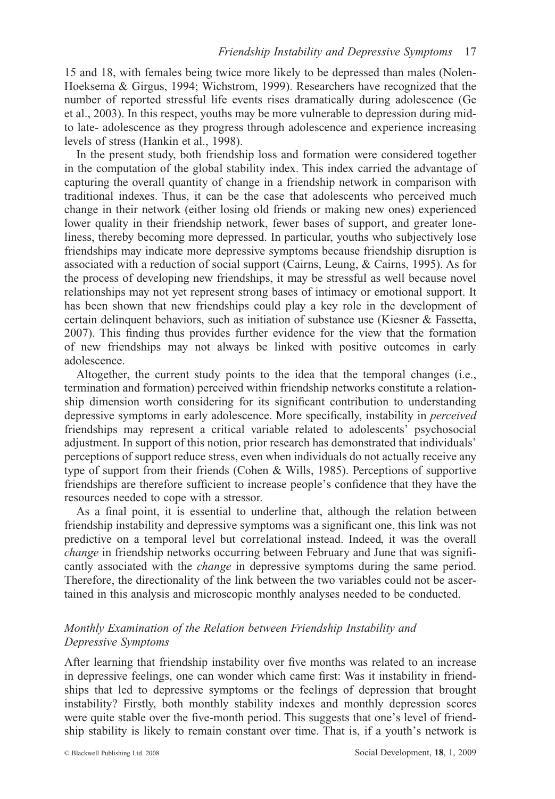15 and 18, with females being twice more likely to be depressed than males (Nolen-Hoeksema & Girgus, 1994; Wichstrom, 1999). Researchers have recognized that the number of reported stressful life events rises dramatically during adolescence (Ge et al., 2003). In this respect, youths may be more vulnerable to depression during midto late- adolescence as they progress through adolescence and experience increasing levels of stress (Hankin et al., 1998).

In the present study, both friendship loss and formation were considered together in the computation of the global stability index. This index carried the advantage of capturing the overall quantity of change in a friendship network in comparison with traditional indexes. Thus, it can be the case that adolescents who perceived much change in their network (either losing old friends or making new ones) experienced lower quality in their friendship network, fewer bases of support, and greater loneliness, thereby becoming more depressed. In particular, youths who subjectively lose friendships may indicate more depressive symptoms because friendship disruption is associated with a reduction of social support (Cairns, Leung, & Cairns, 1995). As for the process of developing new friendships, it may be stressful as well because novel relationships may not yet represent strong bases of intimacy or emotional support. It has been shown that new friendships could play a key role in the development of certain delinquent behaviors, such as initiation of substance use (Kiesner & Fassetta, 2007). This finding thus provides further evidence for the view that the formation of new friendships may not always be linked with positive outcomes in early adolescence.

Altogether, the current study points to the idea that the temporal changes (i.e., termination and formation) perceived within friendship networks constitute a relationship dimension worth considering for its significant contribution to understanding depressive symptoms in early adolescence. More specifically, instability in *perceived* friendships may represent a critical variable related to adolescents' psychosocial adjustment. In support of this notion, prior research has demonstrated that individuals' perceptions of support reduce stress, even when individuals do not actually receive any type of support from their friends (Cohen & Wills, 1985). Perceptions of supportive friendships are therefore sufficient to increase people's confidence that they have the resources needed to cope with a stressor.

As a final point, it is essential to underline that, although the relation between friendship instability and depressive symptoms was a significant one, this link was not predictive on a temporal level but correlational instead. Indeed, it was the overall *change* in friendship networks occurring between February and June that was significantly associated with the *change* in depressive symptoms during the same period. Therefore, the directionality of the link between the two variables could not be ascertained in this analysis and microscopic monthly analyses needed to be conducted.

## *Monthly Examination of the Relation between Friendship Instability and Depressive Symptoms*

After learning that friendship instability over five months was related to an increase in depressive feelings, one can wonder which came first: Was it instability in friendships that led to depressive symptoms or the feelings of depression that brought instability? Firstly, both monthly stability indexes and monthly depression scores were quite stable over the five-month period. This suggests that one's level of friendship stability is likely to remain constant over time. That is, if a youth's network is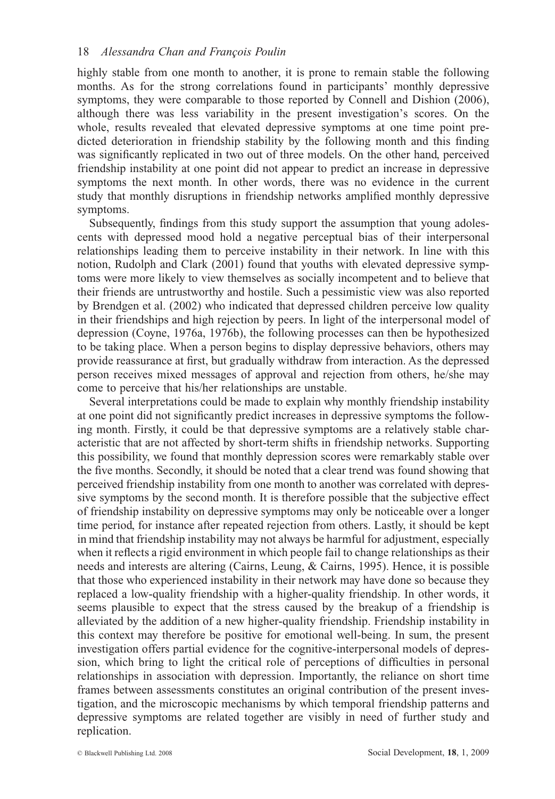highly stable from one month to another, it is prone to remain stable the following months. As for the strong correlations found in participants' monthly depressive symptoms, they were comparable to those reported by Connell and Dishion (2006), although there was less variability in the present investigation's scores. On the whole, results revealed that elevated depressive symptoms at one time point predicted deterioration in friendship stability by the following month and this finding was significantly replicated in two out of three models. On the other hand, perceived friendship instability at one point did not appear to predict an increase in depressive symptoms the next month. In other words, there was no evidence in the current study that monthly disruptions in friendship networks amplified monthly depressive symptoms.

Subsequently, findings from this study support the assumption that young adolescents with depressed mood hold a negative perceptual bias of their interpersonal relationships leading them to perceive instability in their network. In line with this notion, Rudolph and Clark (2001) found that youths with elevated depressive symptoms were more likely to view themselves as socially incompetent and to believe that their friends are untrustworthy and hostile. Such a pessimistic view was also reported by Brendgen et al. (2002) who indicated that depressed children perceive low quality in their friendships and high rejection by peers. In light of the interpersonal model of depression (Coyne, 1976a, 1976b), the following processes can then be hypothesized to be taking place. When a person begins to display depressive behaviors, others may provide reassurance at first, but gradually withdraw from interaction. As the depressed person receives mixed messages of approval and rejection from others, he/she may come to perceive that his/her relationships are unstable.

Several interpretations could be made to explain why monthly friendship instability at one point did not significantly predict increases in depressive symptoms the following month. Firstly, it could be that depressive symptoms are a relatively stable characteristic that are not affected by short-term shifts in friendship networks. Supporting this possibility, we found that monthly depression scores were remarkably stable over the five months. Secondly, it should be noted that a clear trend was found showing that perceived friendship instability from one month to another was correlated with depressive symptoms by the second month. It is therefore possible that the subjective effect of friendship instability on depressive symptoms may only be noticeable over a longer time period, for instance after repeated rejection from others. Lastly, it should be kept in mind that friendship instability may not always be harmful for adjustment, especially when it reflects a rigid environment in which people fail to change relationships as their needs and interests are altering (Cairns, Leung, & Cairns, 1995). Hence, it is possible that those who experienced instability in their network may have done so because they replaced a low-quality friendship with a higher-quality friendship. In other words, it seems plausible to expect that the stress caused by the breakup of a friendship is alleviated by the addition of a new higher-quality friendship. Friendship instability in this context may therefore be positive for emotional well-being. In sum, the present investigation offers partial evidence for the cognitive-interpersonal models of depression, which bring to light the critical role of perceptions of difficulties in personal relationships in association with depression. Importantly, the reliance on short time frames between assessments constitutes an original contribution of the present investigation, and the microscopic mechanisms by which temporal friendship patterns and depressive symptoms are related together are visibly in need of further study and replication.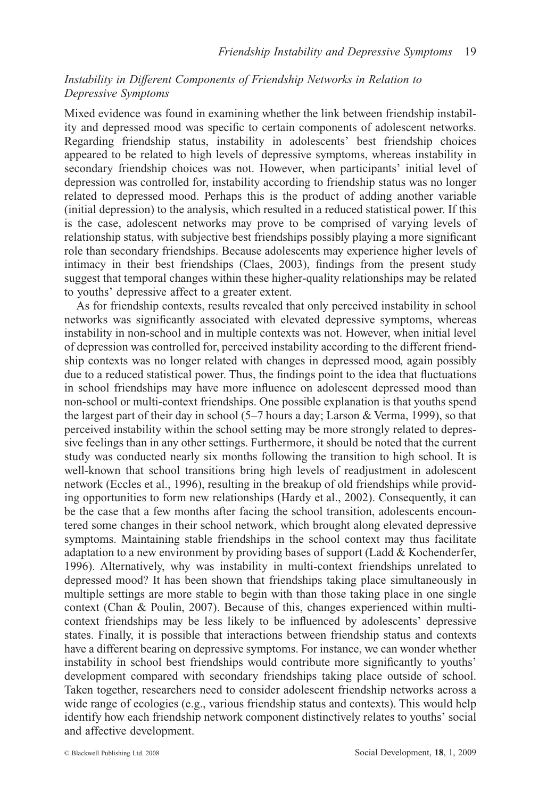## *Instability in Different Components of Friendship Networks in Relation to Depressive Symptoms*

Mixed evidence was found in examining whether the link between friendship instability and depressed mood was specific to certain components of adolescent networks. Regarding friendship status, instability in adolescents' best friendship choices appeared to be related to high levels of depressive symptoms, whereas instability in secondary friendship choices was not. However, when participants' initial level of depression was controlled for, instability according to friendship status was no longer related to depressed mood. Perhaps this is the product of adding another variable (initial depression) to the analysis, which resulted in a reduced statistical power. If this is the case, adolescent networks may prove to be comprised of varying levels of relationship status, with subjective best friendships possibly playing a more significant role than secondary friendships. Because adolescents may experience higher levels of intimacy in their best friendships (Claes, 2003), findings from the present study suggest that temporal changes within these higher-quality relationships may be related to youths' depressive affect to a greater extent.

As for friendship contexts, results revealed that only perceived instability in school networks was significantly associated with elevated depressive symptoms, whereas instability in non-school and in multiple contexts was not. However, when initial level of depression was controlled for, perceived instability according to the different friendship contexts was no longer related with changes in depressed mood, again possibly due to a reduced statistical power. Thus, the findings point to the idea that fluctuations in school friendships may have more influence on adolescent depressed mood than non-school or multi-context friendships. One possible explanation is that youths spend the largest part of their day in school  $(5-7$  hours a day; Larson & Verma, 1999), so that perceived instability within the school setting may be more strongly related to depressive feelings than in any other settings. Furthermore, it should be noted that the current study was conducted nearly six months following the transition to high school. It is well-known that school transitions bring high levels of readjustment in adolescent network (Eccles et al., 1996), resulting in the breakup of old friendships while providing opportunities to form new relationships (Hardy et al., 2002). Consequently, it can be the case that a few months after facing the school transition, adolescents encountered some changes in their school network, which brought along elevated depressive symptoms. Maintaining stable friendships in the school context may thus facilitate adaptation to a new environment by providing bases of support (Ladd & Kochenderfer, 1996). Alternatively, why was instability in multi-context friendships unrelated to depressed mood? It has been shown that friendships taking place simultaneously in multiple settings are more stable to begin with than those taking place in one single context (Chan & Poulin, 2007). Because of this, changes experienced within multicontext friendships may be less likely to be influenced by adolescents' depressive states. Finally, it is possible that interactions between friendship status and contexts have a different bearing on depressive symptoms. For instance, we can wonder whether instability in school best friendships would contribute more significantly to youths' development compared with secondary friendships taking place outside of school. Taken together, researchers need to consider adolescent friendship networks across a wide range of ecologies (e.g., various friendship status and contexts). This would help identify how each friendship network component distinctively relates to youths' social and affective development.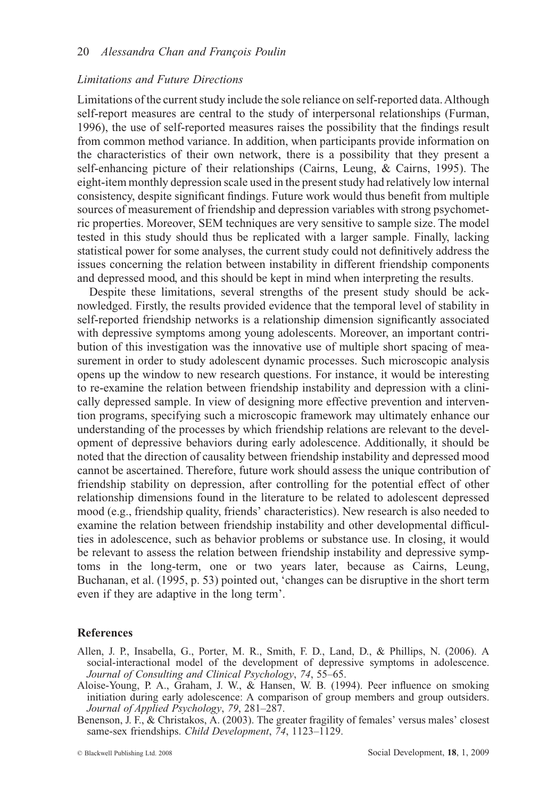#### *Limitations and Future Directions*

Limitations of the current study include the sole reliance on self-reported data.Although self-report measures are central to the study of interpersonal relationships (Furman, 1996), the use of self-reported measures raises the possibility that the findings result from common method variance. In addition, when participants provide information on the characteristics of their own network, there is a possibility that they present a self-enhancing picture of their relationships (Cairns, Leung, & Cairns, 1995). The eight-item monthly depression scale used in the present study had relatively low internal consistency, despite significant findings. Future work would thus benefit from multiple sources of measurement of friendship and depression variables with strong psychometric properties. Moreover, SEM techniques are very sensitive to sample size. The model tested in this study should thus be replicated with a larger sample. Finally, lacking statistical power for some analyses, the current study could not definitively address the issues concerning the relation between instability in different friendship components and depressed mood, and this should be kept in mind when interpreting the results.

Despite these limitations, several strengths of the present study should be acknowledged. Firstly, the results provided evidence that the temporal level of stability in self-reported friendship networks is a relationship dimension significantly associated with depressive symptoms among young adolescents. Moreover, an important contribution of this investigation was the innovative use of multiple short spacing of measurement in order to study adolescent dynamic processes. Such microscopic analysis opens up the window to new research questions. For instance, it would be interesting to re-examine the relation between friendship instability and depression with a clinically depressed sample. In view of designing more effective prevention and intervention programs, specifying such a microscopic framework may ultimately enhance our understanding of the processes by which friendship relations are relevant to the development of depressive behaviors during early adolescence. Additionally, it should be noted that the direction of causality between friendship instability and depressed mood cannot be ascertained. Therefore, future work should assess the unique contribution of friendship stability on depression, after controlling for the potential effect of other relationship dimensions found in the literature to be related to adolescent depressed mood (e.g., friendship quality, friends' characteristics). New research is also needed to examine the relation between friendship instability and other developmental difficulties in adolescence, such as behavior problems or substance use. In closing, it would be relevant to assess the relation between friendship instability and depressive symptoms in the long-term, one or two years later, because as Cairns, Leung, Buchanan, et al. (1995, p. 53) pointed out, 'changes can be disruptive in the short term even if they are adaptive in the long term'.

#### **References**

- Allen, J. P., Insabella, G., Porter, M. R., Smith, F. D., Land, D., & Phillips, N. (2006). A social-interactional model of the development of depressive symptoms in adolescence. *Journal of Consulting and Clinical Psychology*, *74*, 55–65.
- Aloise-Young, P. A., Graham, J. W., & Hansen, W. B. (1994). Peer influence on smoking initiation during early adolescence: A comparison of group members and group outsiders. *Journal of Applied Psychology*, *79*, 281–287.

Benenson, J. F.,  $\&$  Christakos, A. (2003). The greater fragility of females' versus males' closest same-sex friendships. *Child Development*, *74*, 1123–1129.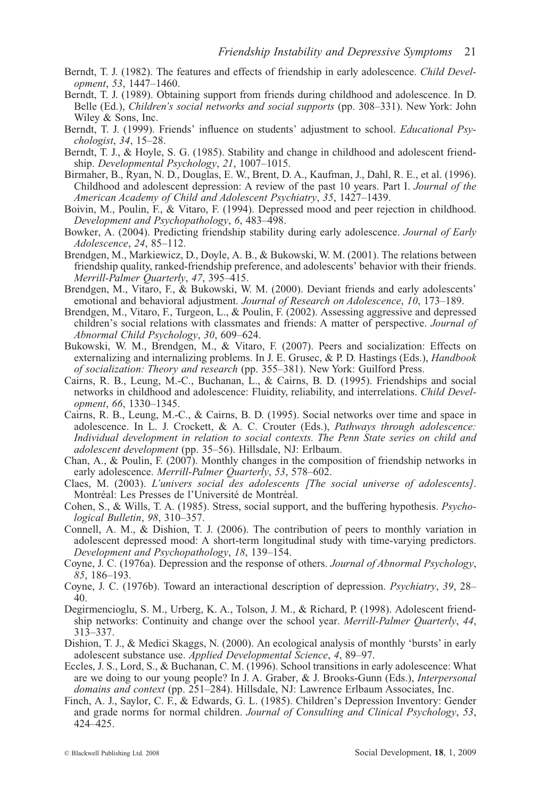- Berndt, T. J. (1982). The features and effects of friendship in early adolescence. *Child Development*, *53*, 1447–1460.
- Berndt, T. J. (1989). Obtaining support from friends during childhood and adolescence. In D. Belle (Ed.), *Children's social networks and social supports* (pp. 308–331). New York: John Wiley & Sons, Inc.
- Berndt, T. J. (1999). Friends' influence on students' adjustment to school. *Educational Psychologist*, *34*, 15–28.
- Berndt, T. J., & Hoyle, S. G. (1985). Stability and change in childhood and adolescent friendship. *Developmental Psychology*, *21*, 1007–1015.
- Birmaher, B., Ryan, N. D., Douglas, E. W., Brent, D. A., Kaufman, J., Dahl, R. E., et al. (1996). Childhood and adolescent depression: A review of the past 10 years. Part I. *Journal of the American Academy of Child and Adolescent Psychiatry*, *35*, 1427–1439.
- Boivin, M., Poulin, F., & Vitaro, F. (1994). Depressed mood and peer rejection in childhood. *Development and Psychopathology*, *6*, 483–498.
- Bowker, A. (2004). Predicting friendship stability during early adolescence. *Journal of Early Adolescence*, *24*, 85–112.
- Brendgen, M., Markiewicz, D., Doyle, A. B., & Bukowski, W. M. (2001). The relations between friendship quality, ranked-friendship preference, and adolescents' behavior with their friends. *Merrill-Palmer Quarterly*, *47*, 395–415.
- Brendgen, M., Vitaro, F., & Bukowski, W. M. (2000). Deviant friends and early adolescents' emotional and behavioral adjustment. *Journal of Research on Adolescence*, *10*, 173–189.
- Brendgen, M., Vitaro, F., Turgeon, L., & Poulin, F. (2002). Assessing aggressive and depressed children's social relations with classmates and friends: A matter of perspective. *Journal of Abnormal Child Psychology*, *30*, 609–624.
- Bukowski, W. M., Brendgen, M., & Vitaro, F. (2007). Peers and socialization: Effects on externalizing and internalizing problems. In J. E. Grusec, & P. D. Hastings (Eds.), *Handbook of socialization: Theory and research* (pp. 355–381). New York: Guilford Press.
- Cairns, R. B., Leung, M.-C., Buchanan, L., & Cairns, B. D. (1995). Friendships and social networks in childhood and adolescence: Fluidity, reliability, and interrelations. *Child Development*, *66*, 1330–1345.
- Cairns, R. B., Leung, M.-C., & Cairns, B. D. (1995). Social networks over time and space in adolescence. In L. J. Crockett, & A. C. Crouter (Eds.), *Pathways through adolescence: Individual development in relation to social contexts. The Penn State series on child and adolescent development* (pp. 35–56). Hillsdale, NJ: Erlbaum.
- Chan, A., & Poulin, F. (2007). Monthly changes in the composition of friendship networks in early adolescence. *Merrill-Palmer Quarterly*, *53*, 578–602.
- Claes, M. (2003). *L'univers social des adolescents [The social universe of adolescents]*. Montréal: Les Presses de l'Université de Montréal.
- Cohen, S., & Wills, T. A. (1985). Stress, social support, and the buffering hypothesis. *Psychological Bulletin*, *98*, 310–357.
- Connell, A. M., & Dishion, T. J. (2006). The contribution of peers to monthly variation in adolescent depressed mood: A short-term longitudinal study with time-varying predictors. *Development and Psychopathology*, *18*, 139–154.
- Coyne, J. C. (1976a). Depression and the response of others. *Journal of Abnormal Psychology*, *85*, 186–193.
- Coyne, J. C. (1976b). Toward an interactional description of depression. *Psychiatry*, *39*, 28– 40.
- Degirmencioglu, S. M., Urberg, K. A., Tolson, J. M., & Richard, P. (1998). Adolescent friendship networks: Continuity and change over the school year. *Merrill-Palmer Quarterly*, *44*, 313–337.
- Dishion, T. J., & Medici Skaggs, N. (2000). An ecological analysis of monthly 'bursts' in early adolescent substance use. *Applied Developmental Science*, *4*, 89–97.
- Eccles, J. S., Lord, S., & Buchanan, C. M. (1996). School transitions in early adolescence: What are we doing to our young people? In J. A. Graber, & J. Brooks-Gunn (Eds.), *Interpersonal domains and context* (pp. 251–284). Hillsdale, NJ: Lawrence Erlbaum Associates, Inc.
- Finch, A. J., Saylor, C. F., & Edwards, G. L. (1985). Children's Depression Inventory: Gender and grade norms for normal children. *Journal of Consulting and Clinical Psychology*, *53*, 424–425.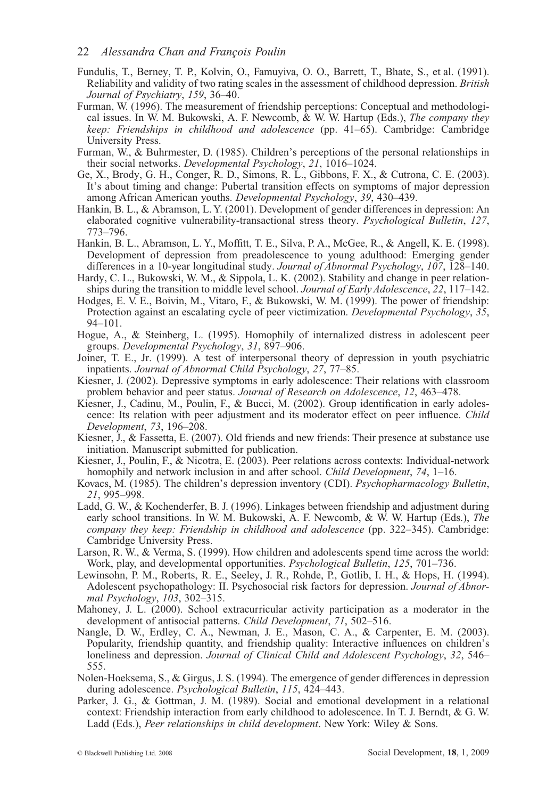- Fundulis, T., Berney, T. P., Kolvin, O., Famuyiva, O. O., Barrett, T., Bhate, S., et al. (1991). Reliability and validity of two rating scales in the assessment of childhood depression. *British Journal of Psychiatry*, *159*, 36–40.
- Furman, W. (1996). The measurement of friendship perceptions: Conceptual and methodological issues. In W. M. Bukowski, A. F. Newcomb, & W. W. Hartup (Eds.), *The company they keep: Friendships in childhood and adolescence* (pp. 41–65). Cambridge: Cambridge University Press.
- Furman, W., & Buhrmester, D. (1985). Children's perceptions of the personal relationships in their social networks. *Developmental Psychology*, *21*, 1016–1024.
- Ge, X., Brody, G. H., Conger, R. D., Simons, R. L., Gibbons, F. X., & Cutrona, C. E. (2003). It's about timing and change: Pubertal transition effects on symptoms of major depression among African American youths. *Developmental Psychology*, *39*, 430–439.
- Hankin, B. L., & Abramson, L. Y. (2001). Development of gender differences in depression: An elaborated cognitive vulnerability-transactional stress theory. *Psychological Bulletin*, *127*, 773–796.
- Hankin, B. L., Abramson, L. Y., Moffitt, T. E., Silva, P. A., McGee, R., & Angell, K. E. (1998). Development of depression from preadolescence to young adulthood: Emerging gender differences in a 10-year longitudinal study. *Journal of Abnormal Psychology*, *107*, 128–140.
- Hardy, C. L., Bukowski, W. M., & Sippola, L. K. (2002). Stability and change in peer relationships during the transition to middle level school. *Journal of Early Adolescence*, *22*, 117–142.
- Hodges, E. V. E., Boivin, M., Vitaro, F., & Bukowski, W. M. (1999). The power of friendship: Protection against an escalating cycle of peer victimization. *Developmental Psychology*, *35*, 94–101.
- Hogue, A., & Steinberg, L. (1995). Homophily of internalized distress in adolescent peer groups. *Developmental Psychology*, *31*, 897–906.
- Joiner, T. E., Jr. (1999). A test of interpersonal theory of depression in youth psychiatric inpatients. *Journal of Abnormal Child Psychology*, *27*, 77–85.
- Kiesner, J. (2002). Depressive symptoms in early adolescence: Their relations with classroom problem behavior and peer status. *Journal of Research on Adolescence*, *12*, 463–478.
- Kiesner, J., Cadinu, M., Poulin, F., & Bucci, M. (2002). Group identification in early adolescence: Its relation with peer adjustment and its moderator effect on peer influence. *Child Development*, *73*, 196–208.
- Kiesner, J., & Fassetta, E. (2007). Old friends and new friends: Their presence at substance use initiation. Manuscript submitted for publication.
- Kiesner, J., Poulin, F., & Nicotra, E. (2003). Peer relations across contexts: Individual-network homophily and network inclusion in and after school. *Child Development*, *74*, 1–16.
- Kovacs, M. (1985). The children's depression inventory (CDI). *Psychopharmacology Bulletin*, *21*, 995–998.
- Ladd, G. W., & Kochenderfer, B. J. (1996). Linkages between friendship and adjustment during early school transitions. In W. M. Bukowski, A. F. Newcomb, & W. W. Hartup (Eds.), *The company they keep: Friendship in childhood and adolescence* (pp. 322–345). Cambridge: Cambridge University Press.
- Larson, R. W., & Verma, S. (1999). How children and adolescents spend time across the world: Work, play, and developmental opportunities. *Psychological Bulletin*, *125*, 701–736.
- Lewinsohn, P. M., Roberts, R. E., Seeley, J. R., Rohde, P., Gotlib, I. H., & Hops, H. (1994). Adolescent psychopathology: II. Psychosocial risk factors for depression. *Journal of Abnormal Psychology*, *103*, 302–315.
- Mahoney, J. L. (2000). School extracurricular activity participation as a moderator in the development of antisocial patterns. *Child Development*, *71*, 502–516.
- Nangle, D. W., Erdley, C. A., Newman, J. E., Mason, C. A., & Carpenter, E. M. (2003). Popularity, friendship quantity, and friendship quality: Interactive influences on children's loneliness and depression. *Journal of Clinical Child and Adolescent Psychology*, *32*, 546– 555.
- Nolen-Hoeksema, S., & Girgus, J. S. (1994). The emergence of gender differences in depression during adolescence. *Psychological Bulletin*, *115*, 424–443.
- Parker, J. G., & Gottman, J. M. (1989). Social and emotional development in a relational context: Friendship interaction from early childhood to adolescence. In T. J. Berndt, & G. W. Ladd (Eds.), *Peer relationships in child development*. New York: Wiley & Sons.